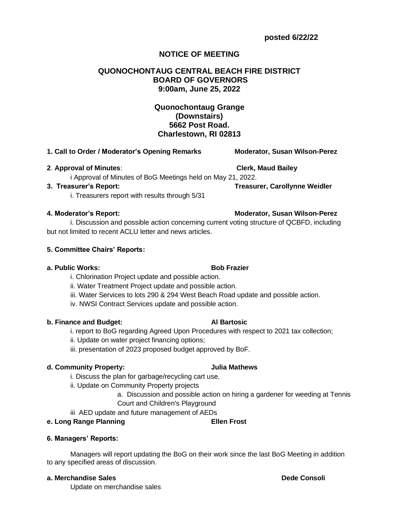# **NOTICE OF MEETING**

## **QUONOCHONTAUG CENTRAL BEACH FIRE DISTRICT BOARD OF GOVERNORS 9:00am, June 25, 2022**

## **Quonochontaug Grange (Downstairs) 5662 Post Road. Charlestown, RI 02813**

## **1. Call to Order / Moderator's Opening Remarks Moderator, Susan Wilson-Perez**

## **2**. **Approval of Minutes**: **Clerk, Maud Bailey**

i Approval of Minutes of BoG Meetings held on May 21, 2022.

## **3. Treasurer's Report: Treasurer, Carollynne Weidler**

i. Treasurers report with results through 5/31

i. Discussion and possible action concerning current voting structure of QCBFD, including but not limited to recent ACLU letter and news articles.

## **5. Committee Chairs' Reports:**

## **a. Public Works: Bob Frazier**

i. Chlorination Project update and possible action.

- ii. Water Treatment Project update and possible action.
- iii. Water Services to lots 290 & 294 West Beach Road update and possible action.
- iv. NWSI Contract Services update and possible action.

## **b. Finance and Budget: Al Bartosic**

- i. report to BoG regarding Agreed Upon Procedures with respect to 2021 tax collection;
- ii. Update on water project financing options;
- iii. presentation of 2023 proposed budget approved by BoF.

## **d. Community Property: Julia Mathews**

- i. Discuss the plan for garbage/recycling cart use.
- ii. Update on Community Property projects
	- a. Discussion and possible action on hiring a gardener for weeding at Tennis Court and Children's Playground
- iii AED update and future management of AEDs

## **e. Long Range Planning Community Community Ellen Frost**

## **6. Managers' Reports:**

Managers will report updating the BoG on their work since the last BoG Meeting in addition to any specified areas of discussion.

## **a. Merchandise Sales Dede Consoli**

Update on merchandise sales

## **4. Moderator's Report: Moderator, Susan Wilson-Perez**